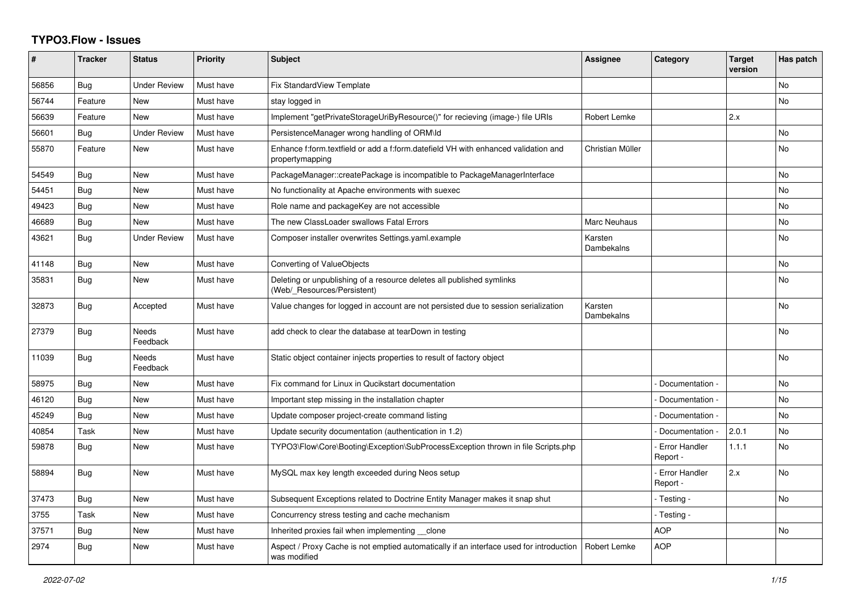## **TYPO3.Flow - Issues**

| #     | <b>Tracker</b> | <b>Status</b>            | <b>Priority</b> | <b>Subject</b>                                                                                          | <b>Assignee</b>       | Category                         | <b>Target</b><br>version | Has patch |
|-------|----------------|--------------------------|-----------------|---------------------------------------------------------------------------------------------------------|-----------------------|----------------------------------|--------------------------|-----------|
| 56856 | <b>Bug</b>     | <b>Under Review</b>      | Must have       | <b>Fix StandardView Template</b>                                                                        |                       |                                  |                          | No        |
| 56744 | Feature        | <b>New</b>               | Must have       | stay logged in                                                                                          |                       |                                  |                          | No        |
| 56639 | Feature        | <b>New</b>               | Must have       | Implement "getPrivateStorageUriByResource()" for recieving (image-) file URIs                           | Robert Lemke          |                                  | 2.x                      |           |
| 56601 | Bug            | <b>Under Review</b>      | Must have       | PersistenceManager wrong handling of ORM\ld                                                             |                       |                                  |                          | No        |
| 55870 | Feature        | <b>New</b>               | Must have       | Enhance f:form.textfield or add a f:form.datefield VH with enhanced validation and<br>propertymapping   | Christian Müller      |                                  |                          | <b>No</b> |
| 54549 | Bug            | <b>New</b>               | Must have       | PackageManager::createPackage is incompatible to PackageManagerInterface                                |                       |                                  |                          | <b>No</b> |
| 54451 | Bug            | <b>New</b>               | Must have       | No functionality at Apache environments with suexec                                                     |                       |                                  |                          | <b>No</b> |
| 49423 | Bug            | <b>New</b>               | Must have       | Role name and packageKey are not accessible                                                             |                       |                                  |                          | No        |
| 46689 | Bug            | <b>New</b>               | Must have       | The new ClassLoader swallows Fatal Errors                                                               | Marc Neuhaus          |                                  |                          | No        |
| 43621 | <b>Bug</b>     | <b>Under Review</b>      | Must have       | Composer installer overwrites Settings.yaml.example                                                     | Karsten<br>Dambekalns |                                  |                          | <b>No</b> |
| 41148 | Bug            | <b>New</b>               | Must have       | Converting of ValueObjects                                                                              |                       |                                  |                          | <b>No</b> |
| 35831 | <b>Bug</b>     | <b>New</b>               | Must have       | Deleting or unpublishing of a resource deletes all published symlinks<br>(Web/_Resources/Persistent)    |                       |                                  |                          | No        |
| 32873 | <b>Bug</b>     | Accepted                 | Must have       | Value changes for logged in account are not persisted due to session serialization                      | Karsten<br>Dambekalns |                                  |                          | <b>No</b> |
| 27379 | Bug            | <b>Needs</b><br>Feedback | Must have       | add check to clear the database at tearDown in testing                                                  |                       |                                  |                          | <b>No</b> |
| 11039 | Bug            | Needs<br>Feedback        | Must have       | Static object container injects properties to result of factory object                                  |                       |                                  |                          | No        |
| 58975 | Bug            | <b>New</b>               | Must have       | Fix command for Linux in Qucikstart documentation                                                       |                       | Documentation -                  |                          | <b>No</b> |
| 46120 | <b>Bug</b>     | <b>New</b>               | Must have       | Important step missing in the installation chapter                                                      |                       | Documentation -                  |                          | <b>No</b> |
| 45249 | Bug            | <b>New</b>               | Must have       | Update composer project-create command listing                                                          |                       | Documentation -                  |                          | No        |
| 40854 | Task           | <b>New</b>               | Must have       | Update security documentation (authentication in 1.2)                                                   |                       | Documentation -                  | 2.0.1                    | No        |
| 59878 | Bug            | New                      | Must have       | TYPO3\Flow\Core\Booting\Exception\SubProcessException thrown in file Scripts.php                        |                       | <b>Error Handler</b><br>Report - | 1.1.1                    | No        |
| 58894 | <b>Bug</b>     | <b>New</b>               | Must have       | MySQL max key length exceeded during Neos setup                                                         |                       | <b>Error Handler</b><br>Report - | 2.x                      | <b>No</b> |
| 37473 | Bug            | <b>New</b>               | Must have       | Subsequent Exceptions related to Doctrine Entity Manager makes it snap shut                             |                       | - Testing -                      |                          | No        |
| 3755  | Task           | <b>New</b>               | Must have       | Concurrency stress testing and cache mechanism                                                          |                       | - Testing -                      |                          |           |
| 37571 | <b>Bug</b>     | <b>New</b>               | Must have       | Inherited proxies fail when implementing clone                                                          |                       | <b>AOP</b>                       |                          | No        |
| 2974  | Bug            | New                      | Must have       | Aspect / Proxy Cache is not emptied automatically if an interface used for introduction<br>was modified | Robert Lemke          | <b>AOP</b>                       |                          |           |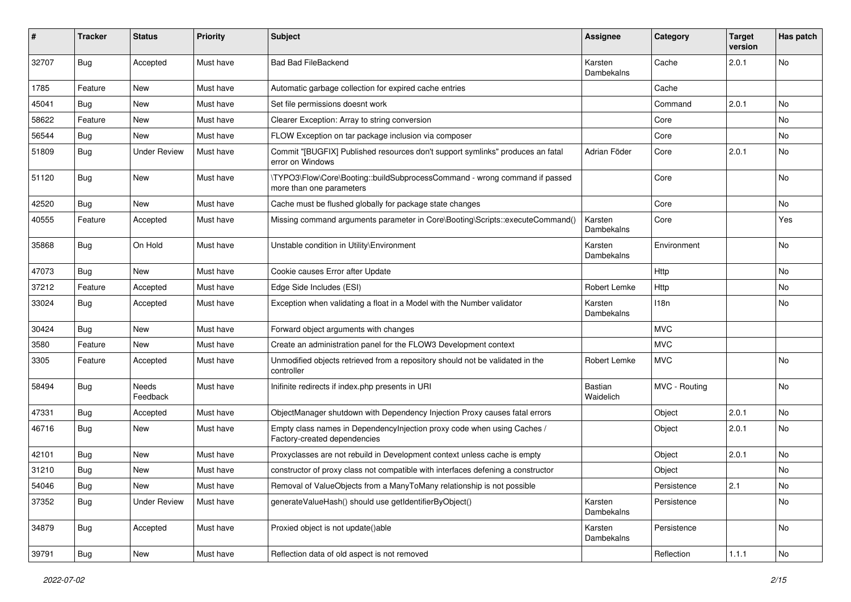| #     | <b>Tracker</b> | <b>Status</b>       | <b>Priority</b> | <b>Subject</b>                                                                                          | <b>Assignee</b>             | Category      | <b>Target</b><br>version | Has patch |
|-------|----------------|---------------------|-----------------|---------------------------------------------------------------------------------------------------------|-----------------------------|---------------|--------------------------|-----------|
| 32707 | <b>Bug</b>     | Accepted            | Must have       | <b>Bad Bad FileBackend</b>                                                                              | Karsten<br>Dambekalns       | Cache         | 2.0.1                    | No        |
| 1785  | Feature        | New                 | Must have       | Automatic garbage collection for expired cache entries                                                  |                             | Cache         |                          |           |
| 45041 | Bug            | <b>New</b>          | Must have       | Set file permissions doesnt work                                                                        |                             | Command       | 2.0.1                    | No        |
| 58622 | Feature        | New                 | Must have       | Clearer Exception: Array to string conversion                                                           |                             | Core          |                          | No        |
| 56544 | Bug            | <b>New</b>          | Must have       | FLOW Exception on tar package inclusion via composer                                                    |                             | Core          |                          | No.       |
| 51809 | Bug            | <b>Under Review</b> | Must have       | Commit "[BUGFIX] Published resources don't support symlinks" produces an fatal<br>error on Windows      | Adrian Föder                | Core          | 2.0.1                    | No        |
| 51120 | <b>Bug</b>     | New                 | Must have       | \TYPO3\Flow\Core\Booting::buildSubprocessCommand - wrong command if passed<br>more than one parameters  |                             | Core          |                          | No        |
| 42520 | <b>Bug</b>     | New                 | Must have       | Cache must be flushed globally for package state changes                                                |                             | Core          |                          | No        |
| 40555 | Feature        | Accepted            | Must have       | Missing command arguments parameter in Core\Booting\Scripts::executeCommand()                           | Karsten<br>Dambekalns       | Core          |                          | Yes       |
| 35868 | <b>Bug</b>     | On Hold             | Must have       | Unstable condition in Utility\Environment                                                               | Karsten<br>Dambekalns       | Environment   |                          | No        |
| 47073 | Bug            | New                 | Must have       | Cookie causes Error after Update                                                                        |                             | Http          |                          | No        |
| 37212 | Feature        | Accepted            | Must have       | Edge Side Includes (ESI)                                                                                | Robert Lemke                | Http          |                          | No.       |
| 33024 | Bug            | Accepted            | Must have       | Exception when validating a float in a Model with the Number validator                                  | Karsten<br>Dambekalns       | 118n          |                          | No        |
| 30424 | Bug            | New                 | Must have       | Forward object arguments with changes                                                                   |                             | <b>MVC</b>    |                          |           |
| 3580  | Feature        | New                 | Must have       | Create an administration panel for the FLOW3 Development context                                        |                             | <b>MVC</b>    |                          |           |
| 3305  | Feature        | Accepted            | Must have       | Unmodified objects retrieved from a repository should not be validated in the<br>controller             | Robert Lemke                | <b>MVC</b>    |                          | No.       |
| 58494 | <b>Bug</b>     | Needs<br>Feedback   | Must have       | Inifinite redirects if index.php presents in URI                                                        | <b>Bastian</b><br>Waidelich | MVC - Routing |                          | No        |
| 47331 | Bug            | Accepted            | Must have       | ObjectManager shutdown with Dependency Injection Proxy causes fatal errors                              |                             | Object        | 2.0.1                    | No        |
| 46716 | Bug            | New                 | Must have       | Empty class names in Dependencylnjection proxy code when using Caches /<br>Factory-created dependencies |                             | Object        | 2.0.1                    | <b>No</b> |
| 42101 | Bug            | New                 | Must have       | Proxyclasses are not rebuild in Development context unless cache is empty                               |                             | Object        | 2.0.1                    | No.       |
| 31210 | Bug            | New                 | Must have       | constructor of proxy class not compatible with interfaces defening a constructor                        |                             | Object        |                          | No        |
| 54046 | Bug            | New                 | Must have       | Removal of ValueObjects from a ManyToMany relationship is not possible                                  |                             | Persistence   | 2.1                      | No        |
| 37352 | Bug            | <b>Under Review</b> | Must have       | generateValueHash() should use getIdentifierByObject()                                                  | Karsten<br>Dambekalns       | Persistence   |                          | No        |
| 34879 | Bug            | Accepted            | Must have       | Proxied object is not update()able                                                                      | Karsten<br>Dambekalns       | Persistence   |                          | No        |
| 39791 | <b>Bug</b>     | New                 | Must have       | Reflection data of old aspect is not removed                                                            |                             | Reflection    | 1.1.1                    | No        |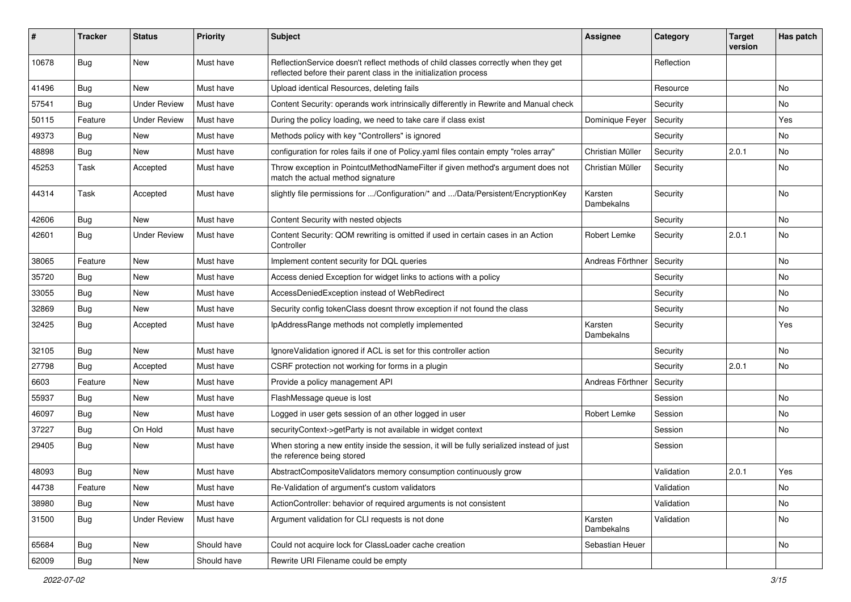| #     | <b>Tracker</b> | <b>Status</b>       | <b>Priority</b> | <b>Subject</b>                                                                                                                                          | <b>Assignee</b>       | Category   | <b>Target</b><br>version | Has patch |
|-------|----------------|---------------------|-----------------|---------------------------------------------------------------------------------------------------------------------------------------------------------|-----------------------|------------|--------------------------|-----------|
| 10678 | <b>Bug</b>     | New                 | Must have       | ReflectionService doesn't reflect methods of child classes correctly when they get<br>reflected before their parent class in the initialization process |                       | Reflection |                          |           |
| 41496 | Bug            | <b>New</b>          | Must have       | Upload identical Resources, deleting fails                                                                                                              |                       | Resource   |                          | No.       |
| 57541 | <b>Bug</b>     | <b>Under Review</b> | Must have       | Content Security: operands work intrinsically differently in Rewrite and Manual check                                                                   |                       | Security   |                          | No        |
| 50115 | Feature        | <b>Under Review</b> | Must have       | During the policy loading, we need to take care if class exist                                                                                          | Dominique Feyer       | Security   |                          | Yes       |
| 49373 | Bug            | <b>New</b>          | Must have       | Methods policy with key "Controllers" is ignored                                                                                                        |                       | Security   |                          | No.       |
| 48898 | <b>Bug</b>     | New                 | Must have       | configuration for roles fails if one of Policy yaml files contain empty "roles array"                                                                   | Christian Müller      | Security   | 2.0.1                    | No        |
| 45253 | Task           | Accepted            | Must have       | Throw exception in PointcutMethodNameFilter if given method's argument does not<br>match the actual method signature                                    | Christian Müller      | Security   |                          | No        |
| 44314 | Task           | Accepted            | Must have       | slightly file permissions for /Configuration/* and /Data/Persistent/EncryptionKey                                                                       | Karsten<br>Dambekalns | Security   |                          | No        |
| 42606 | Bug            | New                 | Must have       | Content Security with nested objects                                                                                                                    |                       | Security   |                          | No        |
| 42601 | Bug            | <b>Under Review</b> | Must have       | Content Security: QOM rewriting is omitted if used in certain cases in an Action<br>Controller                                                          | Robert Lemke          | Security   | 2.0.1                    | No        |
| 38065 | Feature        | <b>New</b>          | Must have       | Implement content security for DQL queries                                                                                                              | Andreas Förthner      | Security   |                          | No.       |
| 35720 | <b>Bug</b>     | New                 | Must have       | Access denied Exception for widget links to actions with a policy                                                                                       |                       | Security   |                          | No        |
| 33055 | Bug            | <b>New</b>          | Must have       | AccessDeniedException instead of WebRedirect                                                                                                            |                       | Security   |                          | No.       |
| 32869 | Bug            | New                 | Must have       | Security config tokenClass doesnt throw exception if not found the class                                                                                |                       | Security   |                          | No        |
| 32425 | Bug            | Accepted            | Must have       | IpAddressRange methods not completly implemented                                                                                                        | Karsten<br>Dambekalns | Security   |                          | Yes       |
| 32105 | Bug            | <b>New</b>          | Must have       | Ignore Validation ignored if ACL is set for this controller action                                                                                      |                       | Security   |                          | No.       |
| 27798 | Bug            | Accepted            | Must have       | CSRF protection not working for forms in a plugin                                                                                                       |                       | Security   | 2.0.1                    | No.       |
| 6603  | Feature        | New                 | Must have       | Provide a policy management API                                                                                                                         | Andreas Förthner      | Security   |                          |           |
| 55937 | Bug            | New                 | Must have       | FlashMessage queue is lost                                                                                                                              |                       | Session    |                          | No.       |
| 46097 | Bug            | New                 | Must have       | Logged in user gets session of an other logged in user                                                                                                  | Robert Lemke          | Session    |                          | No        |
| 37227 | Bug            | On Hold             | Must have       | securityContext->getParty is not available in widget context                                                                                            |                       | Session    |                          | No.       |
| 29405 | Bug            | New                 | Must have       | When storing a new entity inside the session, it will be fully serialized instead of just<br>the reference being stored                                 |                       | Session    |                          |           |
| 48093 | <b>Bug</b>     | <b>New</b>          | Must have       | AbstractCompositeValidators memory consumption continuously grow                                                                                        |                       | Validation | 2.0.1                    | Yes       |
| 44738 | Feature        | New                 | Must have       | Re-Validation of argument's custom validators                                                                                                           |                       | Validation |                          | No        |
| 38980 | <b>Bug</b>     | New                 | Must have       | ActionController: behavior of required arguments is not consistent                                                                                      |                       | Validation |                          | No        |
| 31500 | <b>Bug</b>     | <b>Under Review</b> | Must have       | Argument validation for CLI requests is not done                                                                                                        | Karsten<br>Dambekalns | Validation |                          | No        |
| 65684 | <b>Bug</b>     | New                 | Should have     | Could not acquire lock for ClassLoader cache creation                                                                                                   | Sebastian Heuer       |            |                          | No        |
| 62009 | Bug            | New                 | Should have     | Rewrite URI Filename could be empty                                                                                                                     |                       |            |                          |           |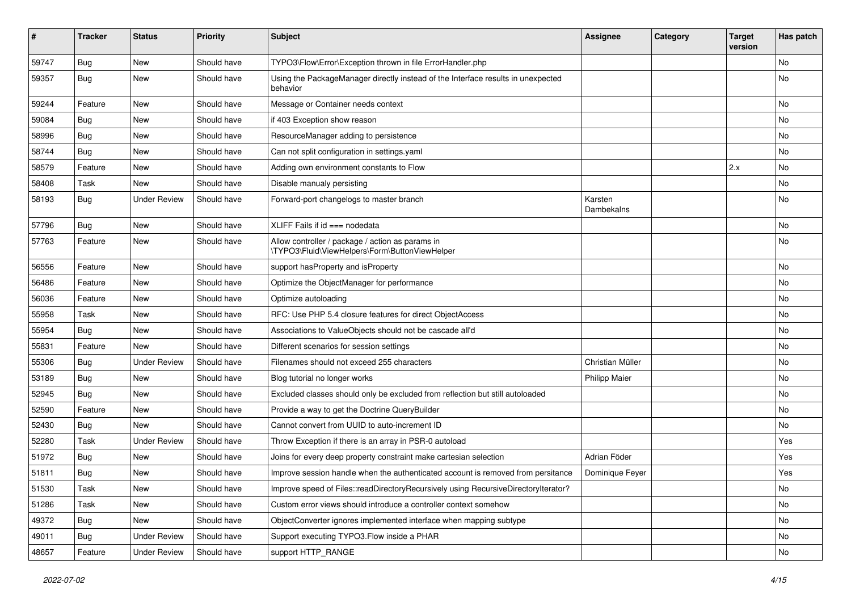| ∦     | <b>Tracker</b> | <b>Status</b>       | <b>Priority</b> | <b>Subject</b>                                                                                     | <b>Assignee</b>       | Category | <b>Target</b><br>version | Has patch |
|-------|----------------|---------------------|-----------------|----------------------------------------------------------------------------------------------------|-----------------------|----------|--------------------------|-----------|
| 59747 | Bug            | <b>New</b>          | Should have     | TYPO3\Flow\Error\Exception thrown in file ErrorHandler.php                                         |                       |          |                          | No        |
| 59357 | Bug            | New                 | Should have     | Using the PackageManager directly instead of the Interface results in unexpected<br>behavior       |                       |          |                          | No        |
| 59244 | Feature        | <b>New</b>          | Should have     | Message or Container needs context                                                                 |                       |          |                          | <b>No</b> |
| 59084 | <b>Bug</b>     | New                 | Should have     | if 403 Exception show reason                                                                       |                       |          |                          | No        |
| 58996 | Bug            | <b>New</b>          | Should have     | ResourceManager adding to persistence                                                              |                       |          |                          | <b>No</b> |
| 58744 | <b>Bug</b>     | New                 | Should have     | Can not split configuration in settings.yaml                                                       |                       |          |                          | No        |
| 58579 | Feature        | <b>New</b>          | Should have     | Adding own environment constants to Flow                                                           |                       |          | 2.x                      | <b>No</b> |
| 58408 | Task           | New                 | Should have     | Disable manualy persisting                                                                         |                       |          |                          | No        |
| 58193 | Bug            | <b>Under Review</b> | Should have     | Forward-port changelogs to master branch                                                           | Karsten<br>Dambekalns |          |                          | No        |
| 57796 | <b>Bug</b>     | <b>New</b>          | Should have     | XLIFF Fails if $id ==$ nodedata                                                                    |                       |          |                          | <b>No</b> |
| 57763 | Feature        | <b>New</b>          | Should have     | Allow controller / package / action as params in<br>\TYPO3\Fluid\ViewHelpers\Form\ButtonViewHelper |                       |          |                          | No        |
| 56556 | Feature        | <b>New</b>          | Should have     | support has Property and is Property                                                               |                       |          |                          | No        |
| 56486 | Feature        | New                 | Should have     | Optimize the ObjectManager for performance                                                         |                       |          |                          | No        |
| 56036 | Feature        | <b>New</b>          | Should have     | Optimize autoloading                                                                               |                       |          |                          | No        |
| 55958 | Task           | <b>New</b>          | Should have     | RFC: Use PHP 5.4 closure features for direct ObjectAccess                                          |                       |          |                          | <b>No</b> |
| 55954 | Bug            | New                 | Should have     | Associations to ValueObjects should not be cascade all'd                                           |                       |          |                          | No        |
| 55831 | Feature        | <b>New</b>          | Should have     | Different scenarios for session settings                                                           |                       |          |                          | No        |
| 55306 | Bug            | <b>Under Review</b> | Should have     | Filenames should not exceed 255 characters                                                         | Christian Müller      |          |                          | <b>No</b> |
| 53189 | Bug            | New                 | Should have     | Blog tutorial no longer works                                                                      | <b>Philipp Maier</b>  |          |                          | No        |
| 52945 | <b>Bug</b>     | <b>New</b>          | Should have     | Excluded classes should only be excluded from reflection but still autoloaded                      |                       |          |                          | <b>No</b> |
| 52590 | Feature        | New                 | Should have     | Provide a way to get the Doctrine QueryBuilder                                                     |                       |          |                          | No        |
| 52430 | Bug            | <b>New</b>          | Should have     | Cannot convert from UUID to auto-increment ID                                                      |                       |          |                          | <b>No</b> |
| 52280 | Task           | <b>Under Review</b> | Should have     | Throw Exception if there is an array in PSR-0 autoload                                             |                       |          |                          | Yes       |
| 51972 | <b>Bug</b>     | <b>New</b>          | Should have     | Joins for every deep property constraint make cartesian selection                                  | Adrian Föder          |          |                          | Yes       |
| 51811 | <b>Bug</b>     | New                 | Should have     | Improve session handle when the authenticated account is removed from persitance                   | Dominique Feyer       |          |                          | Yes       |
| 51530 | Task           | New                 | Should have     | Improve speed of Files::readDirectoryRecursively using RecursiveDirectoryIterator?                 |                       |          |                          | No        |
| 51286 | Task           | New                 | Should have     | Custom error views should introduce a controller context somehow                                   |                       |          |                          | No        |
| 49372 | <b>Bug</b>     | New                 | Should have     | ObjectConverter ignores implemented interface when mapping subtype                                 |                       |          |                          | No        |
| 49011 | <b>Bug</b>     | <b>Under Review</b> | Should have     | Support executing TYPO3.Flow inside a PHAR                                                         |                       |          |                          | No        |
| 48657 | Feature        | <b>Under Review</b> | Should have     | support HTTP_RANGE                                                                                 |                       |          |                          | No        |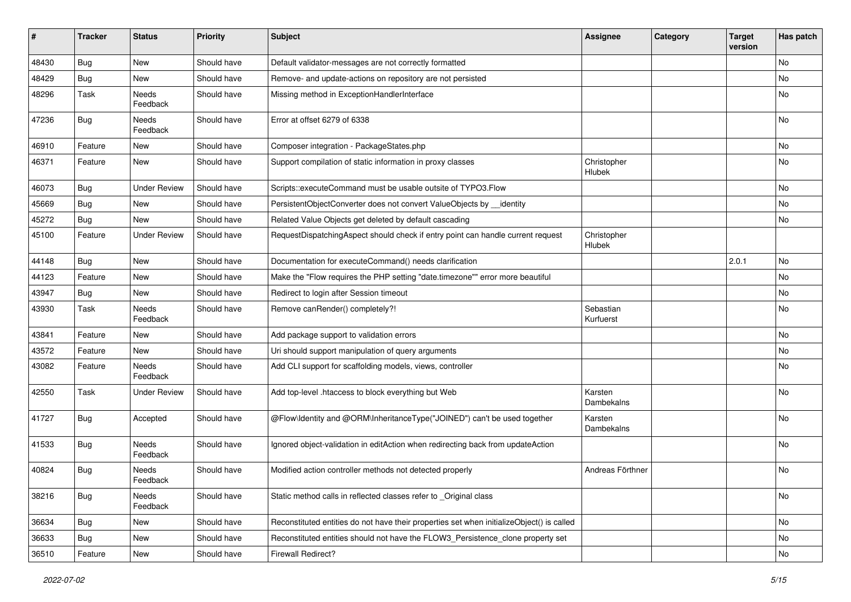| #     | <b>Tracker</b> | <b>Status</b>            | <b>Priority</b> | Subject                                                                                   | <b>Assignee</b>        | Category | <b>Target</b><br>version | Has patch |
|-------|----------------|--------------------------|-----------------|-------------------------------------------------------------------------------------------|------------------------|----------|--------------------------|-----------|
| 48430 | Bug            | <b>New</b>               | Should have     | Default validator-messages are not correctly formatted                                    |                        |          |                          | No        |
| 48429 | <b>Bug</b>     | New                      | Should have     | Remove- and update-actions on repository are not persisted                                |                        |          |                          | No        |
| 48296 | Task           | Needs<br>Feedback        | Should have     | Missing method in ExceptionHandlerInterface                                               |                        |          |                          | No        |
| 47236 | Bug            | Needs<br>Feedback        | Should have     | Error at offset 6279 of 6338                                                              |                        |          |                          | No        |
| 46910 | Feature        | New                      | Should have     | Composer integration - PackageStates.php                                                  |                        |          |                          | No        |
| 46371 | Feature        | New                      | Should have     | Support compilation of static information in proxy classes                                | Christopher<br>Hlubek  |          |                          | No        |
| 46073 | <b>Bug</b>     | <b>Under Review</b>      | Should have     | Scripts::executeCommand must be usable outsite of TYPO3.Flow                              |                        |          |                          | <b>No</b> |
| 45669 | <b>Bug</b>     | New                      | Should have     | PersistentObjectConverter does not convert ValueObjects by __identity                     |                        |          |                          | No        |
| 45272 | <b>Bug</b>     | New                      | Should have     | Related Value Objects get deleted by default cascading                                    |                        |          |                          | No        |
| 45100 | Feature        | <b>Under Review</b>      | Should have     | RequestDispatchingAspect should check if entry point can handle current request           | Christopher<br>Hlubek  |          |                          |           |
| 44148 | Bug            | New                      | Should have     | Documentation for executeCommand() needs clarification                                    |                        |          | 2.0.1                    | No        |
| 44123 | Feature        | New                      | Should have     | Make the "Flow requires the PHP setting "date.timezone"" error more beautiful             |                        |          |                          | No        |
| 43947 | Bug            | New                      | Should have     | Redirect to login after Session timeout                                                   |                        |          |                          | No        |
| 43930 | Task           | Needs<br>Feedback        | Should have     | Remove canRender() completely?!                                                           | Sebastian<br>Kurfuerst |          |                          | No        |
| 43841 | Feature        | <b>New</b>               | Should have     | Add package support to validation errors                                                  |                        |          |                          | <b>No</b> |
| 43572 | Feature        | New                      | Should have     | Uri should support manipulation of query arguments                                        |                        |          |                          | No        |
| 43082 | Feature        | <b>Needs</b><br>Feedback | Should have     | Add CLI support for scaffolding models, views, controller                                 |                        |          |                          | No        |
| 42550 | Task           | Under Review             | Should have     | Add top-level .htaccess to block everything but Web                                       | Karsten<br>Dambekalns  |          |                          | No        |
| 41727 | Bug            | Accepted                 | Should have     | @Flow\Identity and @ORM\InheritanceType("JOINED") can't be used together                  | Karsten<br>Dambekalns  |          |                          | No        |
| 41533 | <b>Bug</b>     | Needs<br>Feedback        | Should have     | Ignored object-validation in editAction when redirecting back from updateAction           |                        |          |                          | No        |
| 40824 | <b>Bug</b>     | Needs<br>Feedback        | Should have     | Modified action controller methods not detected properly                                  | Andreas Förthner       |          |                          | No        |
| 38216 | Bug            | Needs<br>Feedback        | Should have     | Static method calls in reflected classes refer to Original class                          |                        |          |                          | No        |
| 36634 | Bug            | New                      | Should have     | Reconstituted entities do not have their properties set when initializeObject() is called |                        |          |                          | No        |
| 36633 | Bug            | New                      | Should have     | Reconstituted entities should not have the FLOW3_Persistence_clone property set           |                        |          |                          | No        |
| 36510 | Feature        | New                      | Should have     | Firewall Redirect?                                                                        |                        |          |                          | No        |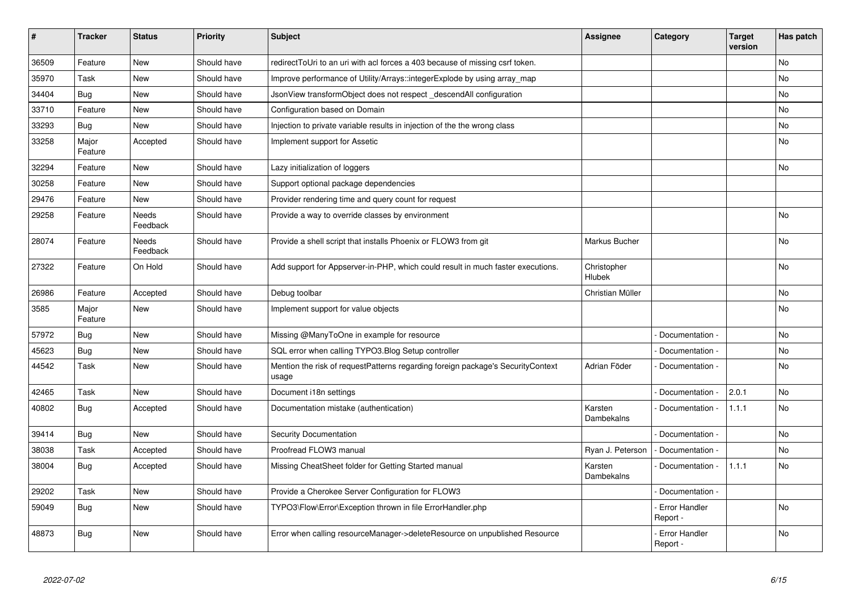| $\vert$ # | <b>Tracker</b>   | <b>Status</b>     | <b>Priority</b> | <b>Subject</b>                                                                           | <b>Assignee</b>       | Category                         | <b>Target</b><br>version | Has patch |
|-----------|------------------|-------------------|-----------------|------------------------------------------------------------------------------------------|-----------------------|----------------------------------|--------------------------|-----------|
| 36509     | Feature          | <b>New</b>        | Should have     | redirectToUri to an uri with acl forces a 403 because of missing csrf token.             |                       |                                  |                          | <b>No</b> |
| 35970     | Task             | <b>New</b>        | Should have     | Improve performance of Utility/Arrays::integerExplode by using array_map                 |                       |                                  |                          | No        |
| 34404     | Bug              | <b>New</b>        | Should have     | JsonView transformObject does not respect descendAll configuration                       |                       |                                  |                          | No        |
| 33710     | Feature          | <b>New</b>        | Should have     | Configuration based on Domain                                                            |                       |                                  |                          | No        |
| 33293     | Bug              | <b>New</b>        | Should have     | Injection to private variable results in injection of the the wrong class                |                       |                                  |                          | No        |
| 33258     | Major<br>Feature | Accepted          | Should have     | Implement support for Assetic                                                            |                       |                                  |                          | No        |
| 32294     | Feature          | New               | Should have     | Lazy initialization of loggers                                                           |                       |                                  |                          | <b>No</b> |
| 30258     | Feature          | New               | Should have     | Support optional package dependencies                                                    |                       |                                  |                          |           |
| 29476     | Feature          | <b>New</b>        | Should have     | Provider rendering time and query count for request                                      |                       |                                  |                          |           |
| 29258     | Feature          | Needs<br>Feedback | Should have     | Provide a way to override classes by environment                                         |                       |                                  |                          | No        |
| 28074     | Feature          | Needs<br>Feedback | Should have     | Provide a shell script that installs Phoenix or FLOW3 from git                           | Markus Bucher         |                                  |                          | No        |
| 27322     | Feature          | On Hold           | Should have     | Add support for Appserver-in-PHP, which could result in much faster executions.          | Christopher<br>Hlubek |                                  |                          | <b>No</b> |
| 26986     | Feature          | Accepted          | Should have     | Debug toolbar                                                                            | Christian Müller      |                                  |                          | <b>No</b> |
| 3585      | Major<br>Feature | <b>New</b>        | Should have     | Implement support for value objects                                                      |                       |                                  |                          | <b>No</b> |
| 57972     | Bug              | <b>New</b>        | Should have     | Missing @ManyToOne in example for resource                                               |                       | Documentation -                  |                          | <b>No</b> |
| 45623     | Bug              | <b>New</b>        | Should have     | SQL error when calling TYPO3. Blog Setup controller                                      |                       | Documentation -                  |                          | No        |
| 44542     | Task             | <b>New</b>        | Should have     | Mention the risk of requestPatterns regarding foreign package's SecurityContext<br>usage | Adrian Föder          | Documentation -                  |                          | No        |
| 42465     | Task             | <b>New</b>        | Should have     | Document i18n settings                                                                   |                       | Documentation -                  | 2.0.1                    | <b>No</b> |
| 40802     | <b>Bug</b>       | Accepted          | Should have     | Documentation mistake (authentication)                                                   | Karsten<br>Dambekalns | Documentation -                  | 1.1.1                    | <b>No</b> |
| 39414     | Bug              | <b>New</b>        | Should have     | Security Documentation                                                                   |                       | Documentation -                  |                          | <b>No</b> |
| 38038     | Task             | Accepted          | Should have     | Proofread FLOW3 manual                                                                   | Ryan J. Peterson      | Documentation -                  |                          | No        |
| 38004     | <b>Bug</b>       | Accepted          | Should have     | Missing CheatSheet folder for Getting Started manual                                     | Karsten<br>Dambekalns | Documentation -                  | 1.1.1                    | No        |
| 29202     | Task             | <b>New</b>        | Should have     | Provide a Cherokee Server Configuration for FLOW3                                        |                       | Documentation -                  |                          |           |
| 59049     | <b>Bug</b>       | <b>New</b>        | Should have     | TYPO3\Flow\Error\Exception thrown in file ErrorHandler.php                               |                       | <b>Error Handler</b><br>Report - |                          | <b>No</b> |
| 48873     | Bug              | <b>New</b>        | Should have     | Error when calling resourceManager->deleteResource on unpublished Resource               |                       | Error Handler<br>Report -        |                          | <b>No</b> |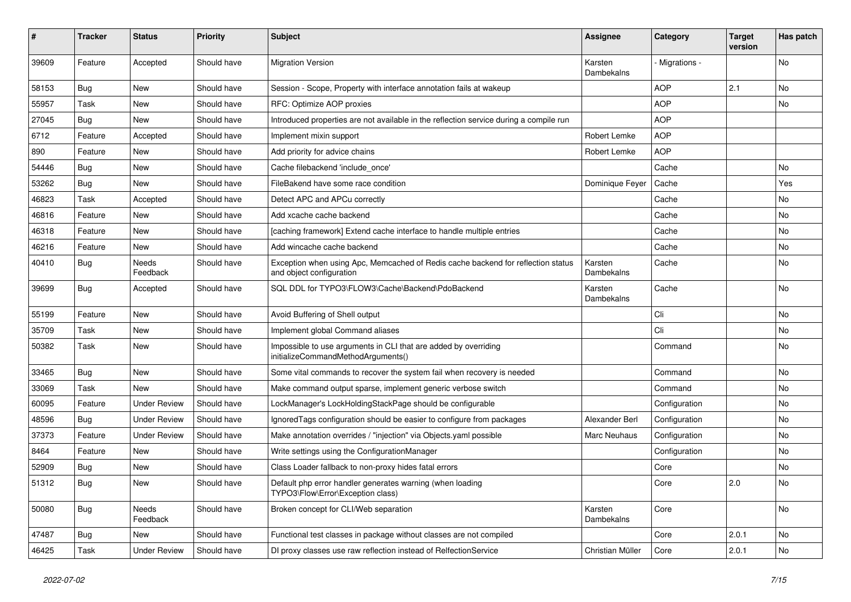| ∦     | <b>Tracker</b> | <b>Status</b>       | <b>Priority</b> | Subject                                                                                                      | Assignee              | Category       | <b>Target</b><br>version | Has patch |
|-------|----------------|---------------------|-----------------|--------------------------------------------------------------------------------------------------------------|-----------------------|----------------|--------------------------|-----------|
| 39609 | Feature        | Accepted            | Should have     | <b>Migration Version</b>                                                                                     | Karsten<br>Dambekalns | - Migrations - |                          | No        |
| 58153 | <b>Bug</b>     | <b>New</b>          | Should have     | Session - Scope, Property with interface annotation fails at wakeup                                          |                       | <b>AOP</b>     | 2.1                      | No.       |
| 55957 | Task           | <b>New</b>          | Should have     | RFC: Optimize AOP proxies                                                                                    |                       | <b>AOP</b>     |                          | No        |
| 27045 | <b>Bug</b>     | New                 | Should have     | Introduced properties are not available in the reflection service during a compile run                       |                       | <b>AOP</b>     |                          |           |
| 6712  | Feature        | Accepted            | Should have     | Implement mixin support                                                                                      | Robert Lemke          | <b>AOP</b>     |                          |           |
| 890   | Feature        | New                 | Should have     | Add priority for advice chains                                                                               | Robert Lemke          | <b>AOP</b>     |                          |           |
| 54446 | <b>Bug</b>     | <b>New</b>          | Should have     | Cache filebackend 'include once'                                                                             |                       | Cache          |                          | No        |
| 53262 | Bug            | <b>New</b>          | Should have     | FileBakend have some race condition                                                                          | Dominique Feyer       | Cache          |                          | Yes       |
| 46823 | Task           | Accepted            | Should have     | Detect APC and APCu correctly                                                                                |                       | Cache          |                          | No        |
| 46816 | Feature        | <b>New</b>          | Should have     | Add xcache cache backend                                                                                     |                       | Cache          |                          | No        |
| 46318 | Feature        | <b>New</b>          | Should have     | [caching framework] Extend cache interface to handle multiple entries                                        |                       | Cache          |                          | No        |
| 46216 | Feature        | New                 | Should have     | Add wincache cache backend                                                                                   |                       | Cache          |                          | No        |
| 40410 | <b>Bug</b>     | Needs<br>Feedback   | Should have     | Exception when using Apc, Memcached of Redis cache backend for reflection status<br>and object configuration | Karsten<br>Dambekalns | Cache          |                          | No        |
| 39699 | Bug            | Accepted            | Should have     | SQL DDL for TYPO3\FLOW3\Cache\Backend\PdoBackend                                                             | Karsten<br>Dambekalns | Cache          |                          | No        |
| 55199 | Feature        | <b>New</b>          | Should have     | Avoid Buffering of Shell output                                                                              |                       | Cli            |                          | No        |
| 35709 | Task           | <b>New</b>          | Should have     | Implement global Command aliases                                                                             |                       | Cli            |                          | No        |
| 50382 | Task           | <b>New</b>          | Should have     | Impossible to use arguments in CLI that are added by overriding<br>initializeCommandMethodArguments()        |                       | Command        |                          | No        |
| 33465 | Bug            | New                 | Should have     | Some vital commands to recover the system fail when recovery is needed                                       |                       | Command        |                          | No.       |
| 33069 | Task           | New                 | Should have     | Make command output sparse, implement generic verbose switch                                                 |                       | Command        |                          | No        |
| 60095 | Feature        | <b>Under Review</b> | Should have     | LockManager's LockHoldingStackPage should be configurable                                                    |                       | Configuration  |                          | No        |
| 48596 | Bug            | <b>Under Review</b> | Should have     | IgnoredTags configuration should be easier to configure from packages                                        | Alexander Berl        | Configuration  |                          | No        |
| 37373 | Feature        | <b>Under Review</b> | Should have     | Make annotation overrides / "injection" via Objects.yaml possible                                            | <b>Marc Neuhaus</b>   | Configuration  |                          | No        |
| 8464  | Feature        | New                 | Should have     | Write settings using the ConfigurationManager                                                                |                       | Configuration  |                          | No        |
| 52909 | <b>Bug</b>     | <b>New</b>          | Should have     | Class Loader fallback to non-proxy hides fatal errors                                                        |                       | Core           |                          | No        |
| 51312 | Bug            | New                 | Should have     | Default php error handler generates warning (when loading<br>TYPO3\Flow\Error\Exception class)               |                       | Core           | 2.0                      | No.       |
| 50080 | Bug            | Needs<br>Feedback   | Should have     | Broken concept for CLI/Web separation                                                                        | Karsten<br>Dambekalns | Core           |                          | No        |
| 47487 | Bug            | New                 | Should have     | Functional test classes in package without classes are not compiled                                          |                       | Core           | 2.0.1                    | No        |
| 46425 | Task           | <b>Under Review</b> | Should have     | DI proxy classes use raw reflection instead of RelfectionService                                             | Christian Müller      | Core           | 2.0.1                    | No        |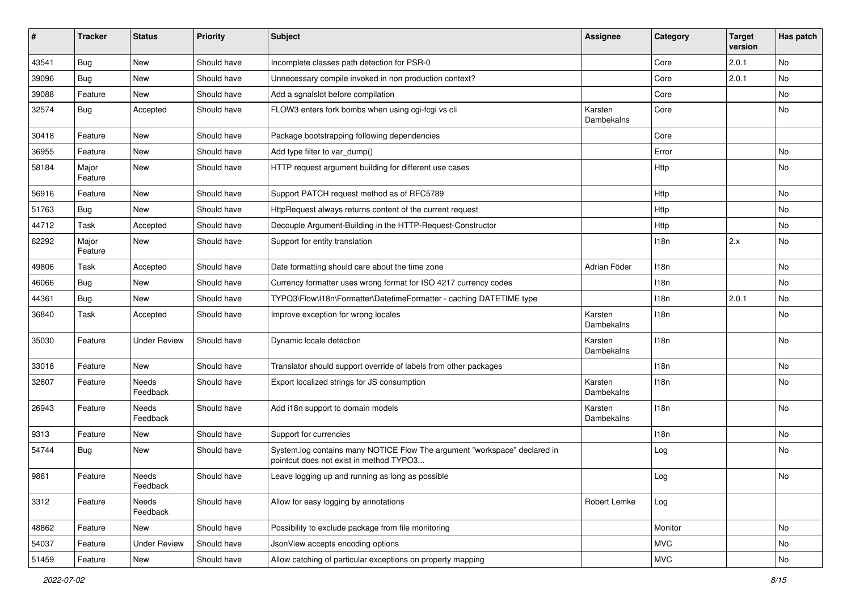| #     | <b>Tracker</b>   | <b>Status</b>       | <b>Priority</b> | Subject                                                                                                              | Assignee              | Category   | <b>Target</b><br>version | Has patch |
|-------|------------------|---------------------|-----------------|----------------------------------------------------------------------------------------------------------------------|-----------------------|------------|--------------------------|-----------|
| 43541 | Bug              | <b>New</b>          | Should have     | Incomplete classes path detection for PSR-0                                                                          |                       | Core       | 2.0.1                    | No        |
| 39096 | <b>Bug</b>       | New                 | Should have     | Unnecessary compile invoked in non production context?                                                               |                       | Core       | 2.0.1                    | No        |
| 39088 | Feature          | New                 | Should have     | Add a sgnalslot before compilation                                                                                   |                       | Core       |                          | No        |
| 32574 | Bug              | Accepted            | Should have     | FLOW3 enters fork bombs when using cgi-fcgi vs cli                                                                   | Karsten<br>Dambekalns | Core       |                          | No        |
| 30418 | Feature          | <b>New</b>          | Should have     | Package bootstrapping following dependencies                                                                         |                       | Core       |                          |           |
| 36955 | Feature          | New                 | Should have     | Add type filter to var dump()                                                                                        |                       | Error      |                          | No        |
| 58184 | Major<br>Feature | <b>New</b>          | Should have     | HTTP request argument building for different use cases                                                               |                       | Http       |                          | <b>No</b> |
| 56916 | Feature          | New                 | Should have     | Support PATCH request method as of RFC5789                                                                           |                       | Http       |                          | No        |
| 51763 | <b>Bug</b>       | <b>New</b>          | Should have     | HttpRequest always returns content of the current request                                                            |                       | Http       |                          | No        |
| 44712 | Task             | Accepted            | Should have     | Decouple Argument-Building in the HTTP-Request-Constructor                                                           |                       | Http       |                          | No        |
| 62292 | Major<br>Feature | <b>New</b>          | Should have     | Support for entity translation                                                                                       |                       | 118n       | 2.x                      | No        |
| 49806 | Task             | Accepted            | Should have     | Date formatting should care about the time zone                                                                      | Adrian Föder          | 118n       |                          | No        |
| 46066 | <b>Bug</b>       | <b>New</b>          | Should have     | Currency formatter uses wrong format for ISO 4217 currency codes                                                     |                       | 118n       |                          | No        |
| 44361 | Bug              | <b>New</b>          | Should have     | TYPO3\Flow\I18n\Formatter\DatetimeFormatter - caching DATETIME type                                                  |                       | 118n       | 2.0.1                    | No        |
| 36840 | Task             | Accepted            | Should have     | Improve exception for wrong locales                                                                                  | Karsten<br>Dambekalns | 118n       |                          | No        |
| 35030 | Feature          | <b>Under Review</b> | Should have     | Dynamic locale detection                                                                                             | Karsten<br>Dambekalns | 118n       |                          | No        |
| 33018 | Feature          | New                 | Should have     | Translator should support override of labels from other packages                                                     |                       | 118n       |                          | No        |
| 32607 | Feature          | Needs<br>Feedback   | Should have     | Export localized strings for JS consumption                                                                          | Karsten<br>Dambekalns | 118n       |                          | No        |
| 26943 | Feature          | Needs<br>Feedback   | Should have     | Add i18n support to domain models                                                                                    | Karsten<br>Dambekalns | 118n       |                          | No        |
| 9313  | Feature          | <b>New</b>          | Should have     | Support for currencies                                                                                               |                       | 118n       |                          | No        |
| 54744 | <b>Bug</b>       | New                 | Should have     | System.log contains many NOTICE Flow The argument "workspace" declared in<br>pointcut does not exist in method TYPO3 |                       | Log        |                          | No        |
| 9861  | Feature          | Needs<br>Feedback   | Should have     | Leave logging up and running as long as possible                                                                     |                       | Log        |                          | No        |
| 3312  | Feature          | Needs<br>Feedback   | Should have     | Allow for easy logging by annotations                                                                                | Robert Lemke          | Log        |                          |           |
| 48862 | Feature          | New                 | Should have     | Possibility to exclude package from file monitoring                                                                  |                       | Monitor    |                          | No        |
| 54037 | Feature          | <b>Under Review</b> | Should have     | JsonView accepts encoding options                                                                                    |                       | <b>MVC</b> |                          | No        |
| 51459 | Feature          | New                 | Should have     | Allow catching of particular exceptions on property mapping                                                          |                       | <b>MVC</b> |                          | No        |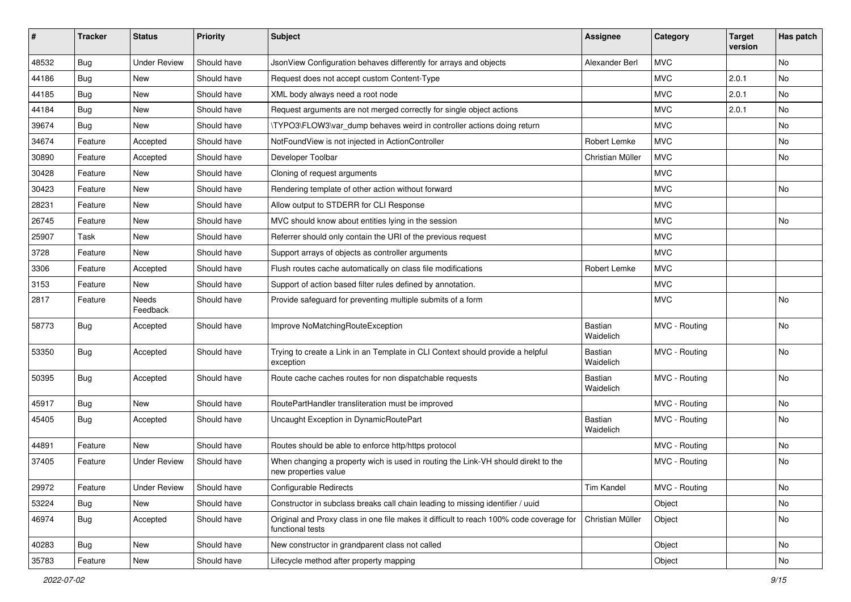| ∦     | <b>Tracker</b> | <b>Status</b>       | Priority    | <b>Subject</b>                                                                                              | <b>Assignee</b>             | Category      | <b>Target</b><br>version | Has patch |
|-------|----------------|---------------------|-------------|-------------------------------------------------------------------------------------------------------------|-----------------------------|---------------|--------------------------|-----------|
| 48532 | Bug            | <b>Under Review</b> | Should have | JsonView Configuration behaves differently for arrays and objects                                           | Alexander Berl              | <b>MVC</b>    |                          | <b>No</b> |
| 44186 | <b>Bug</b>     | New                 | Should have | Request does not accept custom Content-Type                                                                 |                             | <b>MVC</b>    | 2.0.1                    | No        |
| 44185 | <b>Bug</b>     | New                 | Should have | XML body always need a root node                                                                            |                             | <b>MVC</b>    | 2.0.1                    | <b>No</b> |
| 44184 | Bug            | New                 | Should have | Request arguments are not merged correctly for single object actions                                        |                             | <b>MVC</b>    | 2.0.1                    | No        |
| 39674 | <b>Bug</b>     | <b>New</b>          | Should have | \TYPO3\FLOW3\var_dump behaves weird in controller actions doing return                                      |                             | <b>MVC</b>    |                          | No        |
| 34674 | Feature        | Accepted            | Should have | NotFoundView is not injected in ActionController                                                            | <b>Robert Lemke</b>         | <b>MVC</b>    |                          | <b>No</b> |
| 30890 | Feature        | Accepted            | Should have | Developer Toolbar                                                                                           | Christian Müller            | <b>MVC</b>    |                          | No        |
| 30428 | Feature        | New                 | Should have | Cloning of request arguments                                                                                |                             | <b>MVC</b>    |                          |           |
| 30423 | Feature        | New                 | Should have | Rendering template of other action without forward                                                          |                             | <b>MVC</b>    |                          | No        |
| 28231 | Feature        | New                 | Should have | Allow output to STDERR for CLI Response                                                                     |                             | <b>MVC</b>    |                          |           |
| 26745 | Feature        | New                 | Should have | MVC should know about entities lying in the session                                                         |                             | <b>MVC</b>    |                          | No        |
| 25907 | Task           | <b>New</b>          | Should have | Referrer should only contain the URI of the previous request                                                |                             | <b>MVC</b>    |                          |           |
| 3728  | Feature        | New                 | Should have | Support arrays of objects as controller arguments                                                           |                             | <b>MVC</b>    |                          |           |
| 3306  | Feature        | Accepted            | Should have | Flush routes cache automatically on class file modifications                                                | Robert Lemke                | <b>MVC</b>    |                          |           |
| 3153  | Feature        | New                 | Should have | Support of action based filter rules defined by annotation.                                                 |                             | <b>MVC</b>    |                          |           |
| 2817  | Feature        | Needs<br>Feedback   | Should have | Provide safeguard for preventing multiple submits of a form                                                 |                             | <b>MVC</b>    |                          | <b>No</b> |
| 58773 | <b>Bug</b>     | Accepted            | Should have | Improve NoMatchingRouteException                                                                            | Bastian<br>Waidelich        | MVC - Routing |                          | <b>No</b> |
| 53350 | Bug            | Accepted            | Should have | Trying to create a Link in an Template in CLI Context should provide a helpful<br>exception                 | Bastian<br>Waidelich        | MVC - Routing |                          | No        |
| 50395 | <b>Bug</b>     | Accepted            | Should have | Route cache caches routes for non dispatchable requests                                                     | Bastian<br>Waidelich        | MVC - Routing |                          | No        |
| 45917 | <b>Bug</b>     | New                 | Should have | RoutePartHandler transliteration must be improved                                                           |                             | MVC - Routing |                          | <b>No</b> |
| 45405 | <b>Bug</b>     | Accepted            | Should have | Uncaught Exception in DynamicRoutePart                                                                      | <b>Bastian</b><br>Waidelich | MVC - Routing |                          | No        |
| 44891 | Feature        | <b>New</b>          | Should have | Routes should be able to enforce http/https protocol                                                        |                             | MVC - Routing |                          | <b>No</b> |
| 37405 | Feature        | <b>Under Review</b> | Should have | When changing a property wich is used in routing the Link-VH should direkt to the<br>new properties value   |                             | MVC - Routing |                          | No        |
| 29972 | Feature        | <b>Under Review</b> | Should have | Configurable Redirects                                                                                      | Tim Kandel                  | MVC - Routing |                          | No        |
| 53224 | <b>Bug</b>     | New                 | Should have | Constructor in subclass breaks call chain leading to missing identifier / uuid                              |                             | Object        |                          | No        |
| 46974 | <b>Bug</b>     | Accepted            | Should have | Original and Proxy class in one file makes it difficult to reach 100% code coverage for<br>functional tests | Christian Müller            | Object        |                          | No        |
| 40283 | Bug            | New                 | Should have | New constructor in grandparent class not called                                                             |                             | Object        |                          | No        |
| 35783 | Feature        | New                 | Should have | Lifecycle method after property mapping                                                                     |                             | Object        |                          | No        |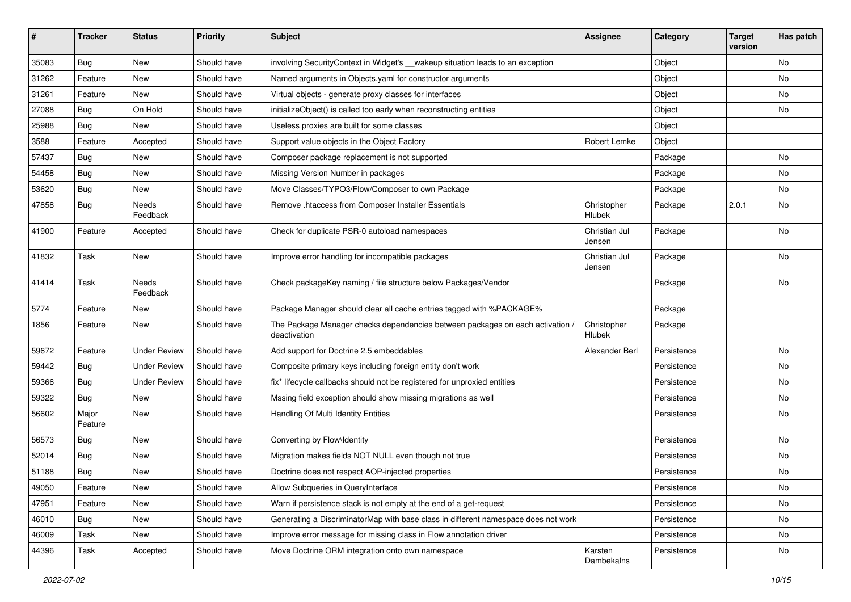| $\sharp$ | <b>Tracker</b>   | <b>Status</b>       | <b>Priority</b> | <b>Subject</b>                                                                                | <b>Assignee</b>         | Category    | <b>Target</b><br>version | Has patch |
|----------|------------------|---------------------|-----------------|-----------------------------------------------------------------------------------------------|-------------------------|-------------|--------------------------|-----------|
| 35083    | Bug              | <b>New</b>          | Should have     | involving SecurityContext in Widget's __wakeup situation leads to an exception                |                         | Object      |                          | No        |
| 31262    | Feature          | New                 | Should have     | Named arguments in Objects yaml for constructor arguments                                     |                         | Object      |                          | No        |
| 31261    | Feature          | New                 | Should have     | Virtual objects - generate proxy classes for interfaces                                       |                         | Object      |                          | No        |
| 27088    | Bug              | On Hold             | Should have     | initializeObject() is called too early when reconstructing entities                           |                         | Object      |                          | No        |
| 25988    | Bug              | New                 | Should have     | Useless proxies are built for some classes                                                    |                         | Object      |                          |           |
| 3588     | Feature          | Accepted            | Should have     | Support value objects in the Object Factory                                                   | Robert Lemke            | Object      |                          |           |
| 57437    | Bug              | New                 | Should have     | Composer package replacement is not supported                                                 |                         | Package     |                          | No        |
| 54458    | Bug              | New                 | Should have     | Missing Version Number in packages                                                            |                         | Package     |                          | No        |
| 53620    | Bug              | <b>New</b>          | Should have     | Move Classes/TYPO3/Flow/Composer to own Package                                               |                         | Package     |                          | No        |
| 47858    | Bug              | Needs<br>Feedback   | Should have     | Remove .htaccess from Composer Installer Essentials                                           | Christopher<br>Hlubek   | Package     | 2.0.1                    | No        |
| 41900    | Feature          | Accepted            | Should have     | Check for duplicate PSR-0 autoload namespaces                                                 | Christian Jul<br>Jensen | Package     |                          | No        |
| 41832    | Task             | New                 | Should have     | Improve error handling for incompatible packages                                              | Christian Jul<br>Jensen | Package     |                          | No        |
| 41414    | Task             | Needs<br>Feedback   | Should have     | Check packageKey naming / file structure below Packages/Vendor                                |                         | Package     |                          | No        |
| 5774     | Feature          | New                 | Should have     | Package Manager should clear all cache entries tagged with %PACKAGE%                          |                         | Package     |                          |           |
| 1856     | Feature          | New                 | Should have     | The Package Manager checks dependencies between packages on each activation /<br>deactivation | Christopher<br>Hlubek   | Package     |                          |           |
| 59672    | Feature          | <b>Under Review</b> | Should have     | Add support for Doctrine 2.5 embeddables                                                      | Alexander Berl          | Persistence |                          | No        |
| 59442    | Bug              | <b>Under Review</b> | Should have     | Composite primary keys including foreign entity don't work                                    |                         | Persistence |                          | No        |
| 59366    | Bug              | <b>Under Review</b> | Should have     | fix* lifecycle callbacks should not be registered for unproxied entities                      |                         | Persistence |                          | No        |
| 59322    | Bug              | <b>New</b>          | Should have     | Mssing field exception should show missing migrations as well                                 |                         | Persistence |                          | No        |
| 56602    | Major<br>Feature | New                 | Should have     | Handling Of Multi Identity Entities                                                           |                         | Persistence |                          | No        |
| 56573    | Bug              | New                 | Should have     | Converting by Flow\Identity                                                                   |                         | Persistence |                          | No        |
| 52014    | Bug              | New                 | Should have     | Migration makes fields NOT NULL even though not true                                          |                         | Persistence |                          | No        |
| 51188    | Bug              | New                 | Should have     | Doctrine does not respect AOP-injected properties                                             |                         | Persistence |                          | No        |
| 49050    | Feature          | New                 | Should have     | Allow Subqueries in QueryInterface                                                            |                         | Persistence |                          | No        |
| 47951    | Feature          | New                 | Should have     | Warn if persistence stack is not empty at the end of a get-request                            |                         | Persistence |                          | No        |
| 46010    | Bug              | New                 | Should have     | Generating a DiscriminatorMap with base class in different namespace does not work            |                         | Persistence |                          | No        |
| 46009    | Task             | New                 | Should have     | Improve error message for missing class in Flow annotation driver                             |                         | Persistence |                          | No        |
| 44396    | Task             | Accepted            | Should have     | Move Doctrine ORM integration onto own namespace                                              | Karsten<br>Dambekalns   | Persistence |                          | No        |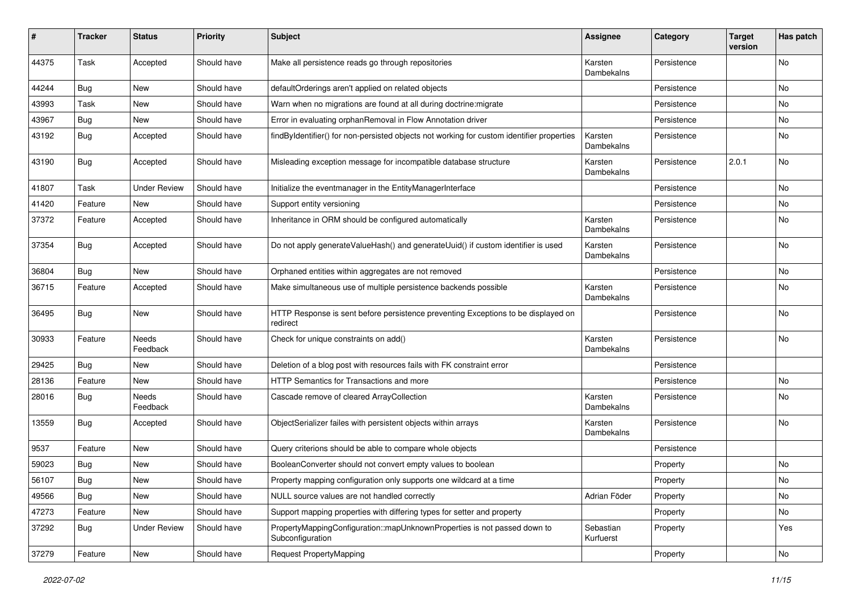| #     | <b>Tracker</b> | <b>Status</b>            | <b>Priority</b> | Subject                                                                                       | Assignee               | Category    | <b>Target</b><br>version | Has patch     |
|-------|----------------|--------------------------|-----------------|-----------------------------------------------------------------------------------------------|------------------------|-------------|--------------------------|---------------|
| 44375 | Task           | Accepted                 | Should have     | Make all persistence reads go through repositories                                            | Karsten<br>Dambekalns  | Persistence |                          | No            |
| 44244 | <b>Bug</b>     | New                      | Should have     | defaultOrderings aren't applied on related objects                                            |                        | Persistence |                          | No            |
| 43993 | Task           | New                      | Should have     | Warn when no migrations are found at all during doctrine: migrate                             |                        | Persistence |                          | No            |
| 43967 | Bug            | New                      | Should have     | Error in evaluating orphanRemoval in Flow Annotation driver                                   |                        | Persistence |                          | No            |
| 43192 | Bug            | Accepted                 | Should have     | findByIdentifier() for non-persisted objects not working for custom identifier properties     | Karsten<br>Dambekalns  | Persistence |                          | No            |
| 43190 | Bug            | Accepted                 | Should have     | Misleading exception message for incompatible database structure                              | Karsten<br>Dambekalns  | Persistence | 2.0.1                    | No            |
| 41807 | Task           | <b>Under Review</b>      | Should have     | Initialize the eventmanager in the EntityManagerInterface                                     |                        | Persistence |                          | No            |
| 41420 | Feature        | New                      | Should have     | Support entity versioning                                                                     |                        | Persistence |                          | No            |
| 37372 | Feature        | Accepted                 | Should have     | Inheritance in ORM should be configured automatically                                         | Karsten<br>Dambekalns  | Persistence |                          | No            |
| 37354 | Bug            | Accepted                 | Should have     | Do not apply generateValueHash() and generateUuid() if custom identifier is used              | Karsten<br>Dambekalns  | Persistence |                          | No            |
| 36804 | Bug            | New                      | Should have     | Orphaned entities within aggregates are not removed                                           |                        | Persistence |                          | No            |
| 36715 | Feature        | Accepted                 | Should have     | Make simultaneous use of multiple persistence backends possible                               | Karsten<br>Dambekalns  | Persistence |                          | No            |
| 36495 | <b>Bug</b>     | New                      | Should have     | HTTP Response is sent before persistence preventing Exceptions to be displayed on<br>redirect |                        | Persistence |                          | No            |
| 30933 | Feature        | Needs<br>Feedback        | Should have     | Check for unique constraints on add()                                                         | Karsten<br>Dambekalns  | Persistence |                          | No            |
| 29425 | Bug            | New                      | Should have     | Deletion of a blog post with resources fails with FK constraint error                         |                        | Persistence |                          |               |
| 28136 | Feature        | New                      | Should have     | HTTP Semantics for Transactions and more                                                      |                        | Persistence |                          | No            |
| 28016 | <b>Bug</b>     | <b>Needs</b><br>Feedback | Should have     | Cascade remove of cleared ArrayCollection                                                     | Karsten<br>Dambekalns  | Persistence |                          | No            |
| 13559 | <b>Bug</b>     | Accepted                 | Should have     | ObjectSerializer failes with persistent objects within arrays                                 | Karsten<br>Dambekalns  | Persistence |                          | <b>No</b>     |
| 9537  | Feature        | New                      | Should have     | Query criterions should be able to compare whole objects                                      |                        | Persistence |                          |               |
| 59023 | <b>Bug</b>     | New                      | Should have     | BooleanConverter should not convert empty values to boolean                                   |                        | Property    |                          | No            |
| 56107 | Bug            | New                      | Should have     | Property mapping configuration only supports one wildcard at a time                           |                        | Property    |                          | $\mathsf{No}$ |
| 49566 | <b>Bug</b>     | New                      | Should have     | NULL source values are not handled correctly                                                  | Adrian Föder           | Property    |                          | No            |
| 47273 | Feature        | New                      | Should have     | Support mapping properties with differing types for setter and property                       |                        | Property    |                          | No            |
| 37292 | <b>Bug</b>     | <b>Under Review</b>      | Should have     | PropertyMappingConfiguration::mapUnknownProperties is not passed down to<br>Subconfiguration  | Sebastian<br>Kurfuerst | Property    |                          | Yes           |
| 37279 | Feature        | New                      | Should have     | Request PropertyMapping                                                                       |                        | Property    |                          | No            |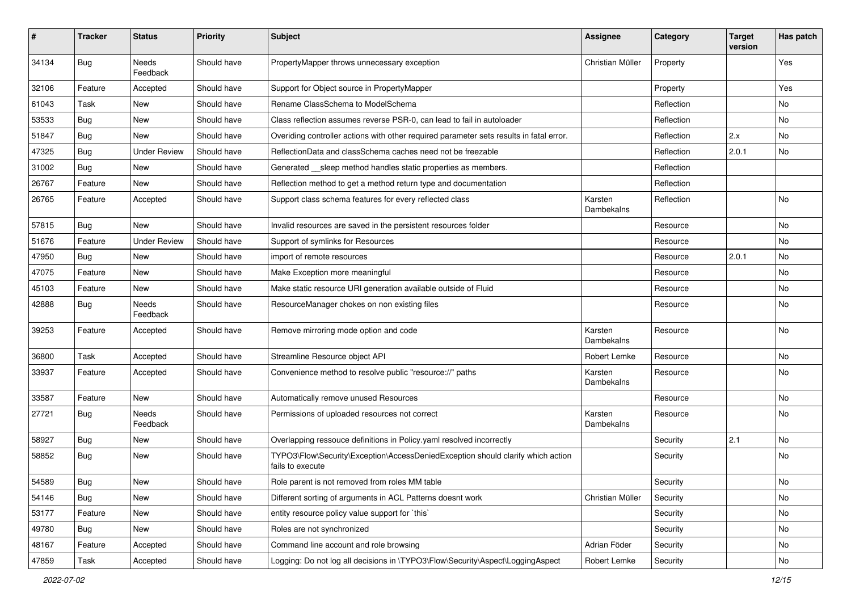| #     | <b>Tracker</b> | <b>Status</b>       | <b>Priority</b> | <b>Subject</b>                                                                                      | <b>Assignee</b>       | Category   | <b>Target</b><br>version | Has patch |
|-------|----------------|---------------------|-----------------|-----------------------------------------------------------------------------------------------------|-----------------------|------------|--------------------------|-----------|
| 34134 | <b>Bug</b>     | Needs<br>Feedback   | Should have     | PropertyMapper throws unnecessary exception                                                         | Christian Müller      | Property   |                          | Yes       |
| 32106 | Feature        | Accepted            | Should have     | Support for Object source in PropertyMapper                                                         |                       | Property   |                          | Yes       |
| 61043 | Task           | New                 | Should have     | Rename ClassSchema to ModelSchema                                                                   |                       | Reflection |                          | No        |
| 53533 | <b>Bug</b>     | New                 | Should have     | Class reflection assumes reverse PSR-0, can lead to fail in autoloader                              |                       | Reflection |                          | No        |
| 51847 | Bug            | New                 | Should have     | Overiding controller actions with other required parameter sets results in fatal error.             |                       | Reflection | 2.x                      | <b>No</b> |
| 47325 | <b>Bug</b>     | <b>Under Review</b> | Should have     | ReflectionData and classSchema caches need not be freezable                                         |                       | Reflection | 2.0.1                    | No        |
| 31002 | <b>Bug</b>     | New                 | Should have     | Generated __sleep method handles static properties as members.                                      |                       | Reflection |                          |           |
| 26767 | Feature        | New                 | Should have     | Reflection method to get a method return type and documentation                                     |                       | Reflection |                          |           |
| 26765 | Feature        | Accepted            | Should have     | Support class schema features for every reflected class                                             | Karsten<br>Dambekalns | Reflection |                          | No        |
| 57815 | <b>Bug</b>     | <b>New</b>          | Should have     | Invalid resources are saved in the persistent resources folder                                      |                       | Resource   |                          | No        |
| 51676 | Feature        | <b>Under Review</b> | Should have     | Support of symlinks for Resources                                                                   |                       | Resource   |                          | No        |
| 47950 | <b>Bug</b>     | <b>New</b>          | Should have     | import of remote resources                                                                          |                       | Resource   | 2.0.1                    | <b>No</b> |
| 47075 | Feature        | New                 | Should have     | Make Exception more meaningful                                                                      |                       | Resource   |                          | No        |
| 45103 | Feature        | New                 | Should have     | Make static resource URI generation available outside of Fluid                                      |                       | Resource   |                          | No        |
| 42888 | Bug            | Needs<br>Feedback   | Should have     | ResourceManager chokes on non existing files                                                        |                       | Resource   |                          | No        |
| 39253 | Feature        | Accepted            | Should have     | Remove mirroring mode option and code                                                               | Karsten<br>Dambekalns | Resource   |                          | No        |
| 36800 | Task           | Accepted            | Should have     | Streamline Resource object API                                                                      | Robert Lemke          | Resource   |                          | No        |
| 33937 | Feature        | Accepted            | Should have     | Convenience method to resolve public "resource://" paths                                            | Karsten<br>Dambekalns | Resource   |                          | No        |
| 33587 | Feature        | New                 | Should have     | Automatically remove unused Resources                                                               |                       | Resource   |                          | No        |
| 27721 | Bug            | Needs<br>Feedback   | Should have     | Permissions of uploaded resources not correct                                                       | Karsten<br>Dambekalns | Resource   |                          | No        |
| 58927 | <b>Bug</b>     | New                 | Should have     | Overlapping ressouce definitions in Policy yaml resolved incorrectly                                |                       | Security   | 2.1                      | No        |
| 58852 | Bug            | New                 | Should have     | TYPO3\Flow\Security\Exception\AccessDeniedException should clarify which action<br>fails to execute |                       | Security   |                          | <b>No</b> |
| 54589 | <b>Bug</b>     | New                 | Should have     | Role parent is not removed from roles MM table                                                      |                       | Security   |                          | No        |
| 54146 | Bug            | New                 | Should have     | Different sorting of arguments in ACL Patterns doesnt work                                          | Christian Müller      | Security   |                          | No        |
| 53177 | Feature        | New                 | Should have     | entity resource policy value support for `this`                                                     |                       | Security   |                          | No        |
| 49780 | Bug            | New                 | Should have     | Roles are not synchronized                                                                          |                       | Security   |                          | No        |
| 48167 | Feature        | Accepted            | Should have     | Command line account and role browsing                                                              | Adrian Föder          | Security   |                          | No        |
| 47859 | Task           | Accepted            | Should have     | Logging: Do not log all decisions in \TYPO3\Flow\Security\Aspect\LoggingAspect                      | Robert Lemke          | Security   |                          | No        |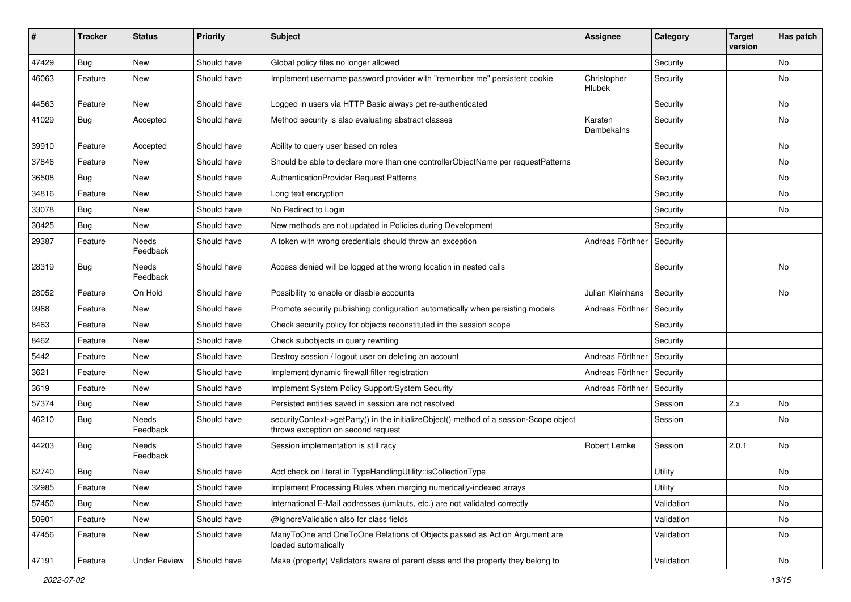| ∦     | <b>Tracker</b> | <b>Status</b>            | <b>Priority</b> | <b>Subject</b>                                                                                                               | Assignee              | Category   | <b>Target</b><br>version | Has patch |
|-------|----------------|--------------------------|-----------------|------------------------------------------------------------------------------------------------------------------------------|-----------------------|------------|--------------------------|-----------|
| 47429 | Bug            | New                      | Should have     | Global policy files no longer allowed                                                                                        |                       | Security   |                          | No        |
| 46063 | Feature        | New                      | Should have     | Implement username password provider with "remember me" persistent cookie                                                    | Christopher<br>Hlubek | Security   |                          | No        |
| 44563 | Feature        | <b>New</b>               | Should have     | Logged in users via HTTP Basic always get re-authenticated                                                                   |                       | Security   |                          | No        |
| 41029 | Bug            | Accepted                 | Should have     | Method security is also evaluating abstract classes                                                                          | Karsten<br>Dambekalns | Security   |                          | No        |
| 39910 | Feature        | Accepted                 | Should have     | Ability to query user based on roles                                                                                         |                       | Security   |                          | No        |
| 37846 | Feature        | New                      | Should have     | Should be able to declare more than one controllerObjectName per requestPatterns                                             |                       | Security   |                          | No        |
| 36508 | Bug            | New                      | Should have     | AuthenticationProvider Request Patterns                                                                                      |                       | Security   |                          | No        |
| 34816 | Feature        | New                      | Should have     | Long text encryption                                                                                                         |                       | Security   |                          | No        |
| 33078 | <b>Bug</b>     | New                      | Should have     | No Redirect to Login                                                                                                         |                       | Security   |                          | No        |
| 30425 | Bug            | New                      | Should have     | New methods are not updated in Policies during Development                                                                   |                       | Security   |                          |           |
| 29387 | Feature        | Needs<br>Feedback        | Should have     | A token with wrong credentials should throw an exception                                                                     | Andreas Förthner      | Security   |                          |           |
| 28319 | Bug            | Needs<br>Feedback        | Should have     | Access denied will be logged at the wrong location in nested calls                                                           |                       | Security   |                          | No        |
| 28052 | Feature        | On Hold                  | Should have     | Possibility to enable or disable accounts                                                                                    | Julian Kleinhans      | Security   |                          | No        |
| 9968  | Feature        | New                      | Should have     | Promote security publishing configuration automatically when persisting models                                               | Andreas Förthner      | Security   |                          |           |
| 8463  | Feature        | New                      | Should have     | Check security policy for objects reconstituted in the session scope                                                         |                       | Security   |                          |           |
| 8462  | Feature        | New                      | Should have     | Check subobjects in query rewriting                                                                                          |                       | Security   |                          |           |
| 5442  | Feature        | New                      | Should have     | Destroy session / logout user on deleting an account                                                                         | Andreas Förthner      | Security   |                          |           |
| 3621  | Feature        | New                      | Should have     | Implement dynamic firewall filter registration                                                                               | Andreas Förthner      | Security   |                          |           |
| 3619  | Feature        | New                      | Should have     | Implement System Policy Support/System Security                                                                              | Andreas Förthner      | Security   |                          |           |
| 57374 | <b>Bug</b>     | New                      | Should have     | Persisted entities saved in session are not resolved                                                                         |                       | Session    | 2.x                      | No        |
| 46210 | Bug            | <b>Needs</b><br>Feedback | Should have     | securityContext->getParty() in the initializeObject() method of a session-Scope object<br>throws exception on second request |                       | Session    |                          | No        |
| 44203 | <b>Bug</b>     | <b>Needs</b><br>Feedback | Should have     | Session implementation is still racy                                                                                         | Robert Lemke          | Session    | 2.0.1                    | No        |
| 62740 | Bug            | New                      | Should have     | Add check on literal in TypeHandlingUtility::isCollectionType                                                                |                       | Utility    |                          | No        |
| 32985 | Feature        | <b>New</b>               | Should have     | Implement Processing Rules when merging numerically-indexed arrays                                                           |                       | Utility    |                          | No        |
| 57450 | Bug            | New                      | Should have     | International E-Mail addresses (umlauts, etc.) are not validated correctly                                                   |                       | Validation |                          | No        |
| 50901 | Feature        | New                      | Should have     | @IgnoreValidation also for class fields                                                                                      |                       | Validation |                          | No        |
| 47456 | Feature        | New                      | Should have     | ManyToOne and OneToOne Relations of Objects passed as Action Argument are<br>loaded automatically                            |                       | Validation |                          | No        |
| 47191 | Feature        | <b>Under Review</b>      | Should have     | Make (property) Validators aware of parent class and the property they belong to                                             |                       | Validation |                          | No        |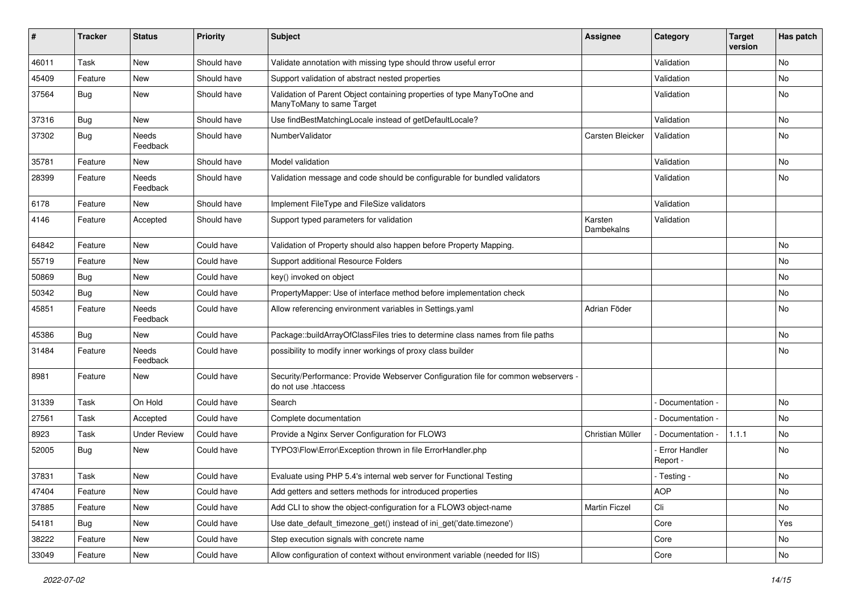| ∦     | <b>Tracker</b> | <b>Status</b>            | <b>Priority</b> | <b>Subject</b>                                                                                             | <b>Assignee</b>       | Category                         | <b>Target</b><br>version | Has patch |
|-------|----------------|--------------------------|-----------------|------------------------------------------------------------------------------------------------------------|-----------------------|----------------------------------|--------------------------|-----------|
| 46011 | Task           | New                      | Should have     | Validate annotation with missing type should throw useful error                                            |                       | Validation                       |                          | No        |
| 45409 | Feature        | New                      | Should have     | Support validation of abstract nested properties                                                           |                       | Validation                       |                          | No        |
| 37564 | <b>Bug</b>     | New                      | Should have     | Validation of Parent Object containing properties of type ManyToOne and<br>ManyToMany to same Target       |                       | Validation                       |                          | No        |
| 37316 | Bug            | New                      | Should have     | Use findBestMatchingLocale instead of getDefaultLocale?                                                    |                       | Validation                       |                          | No        |
| 37302 | Bug            | <b>Needs</b><br>Feedback | Should have     | NumberValidator                                                                                            | Carsten Bleicker      | Validation                       |                          | No        |
| 35781 | Feature        | New                      | Should have     | Model validation                                                                                           |                       | Validation                       |                          | No        |
| 28399 | Feature        | Needs<br>Feedback        | Should have     | Validation message and code should be configurable for bundled validators                                  |                       | Validation                       |                          | No        |
| 6178  | Feature        | New                      | Should have     | Implement FileType and FileSize validators                                                                 |                       | Validation                       |                          |           |
| 4146  | Feature        | Accepted                 | Should have     | Support typed parameters for validation                                                                    | Karsten<br>Dambekalns | Validation                       |                          |           |
| 64842 | Feature        | <b>New</b>               | Could have      | Validation of Property should also happen before Property Mapping.                                         |                       |                                  |                          | <b>No</b> |
| 55719 | Feature        | New                      | Could have      | Support additional Resource Folders                                                                        |                       |                                  |                          | No        |
| 50869 | Bug            | New                      | Could have      | key() invoked on object                                                                                    |                       |                                  |                          | No        |
| 50342 | Bug            | New                      | Could have      | PropertyMapper: Use of interface method before implementation check                                        |                       |                                  |                          | No        |
| 45851 | Feature        | Needs<br>Feedback        | Could have      | Allow referencing environment variables in Settings.yaml                                                   | Adrian Föder          |                                  |                          | No        |
| 45386 | <b>Bug</b>     | New                      | Could have      | Package::buildArrayOfClassFiles tries to determine class names from file paths                             |                       |                                  |                          | No        |
| 31484 | Feature        | Needs<br>Feedback        | Could have      | possibility to modify inner workings of proxy class builder                                                |                       |                                  |                          | No        |
| 8981  | Feature        | New                      | Could have      | Security/Performance: Provide Webserver Configuration file for common webservers -<br>do not use .htaccess |                       |                                  |                          |           |
| 31339 | Task           | On Hold                  | Could have      | Search                                                                                                     |                       | Documentation -                  |                          | <b>No</b> |
| 27561 | Task           | Accepted                 | Could have      | Complete documentation                                                                                     |                       | Documentation -                  |                          | No        |
| 8923  | Task           | <b>Under Review</b>      | Could have      | Provide a Nginx Server Configuration for FLOW3                                                             | Christian Müller      | Documentation -                  | 1.1.1                    | No        |
| 52005 | Bug            | New                      | Could have      | TYPO3\Flow\Error\Exception thrown in file ErrorHandler.php                                                 |                       | <b>Error Handler</b><br>Report - |                          | No        |
| 37831 | Task           | New                      | Could have      | Evaluate using PHP 5.4's internal web server for Functional Testing                                        |                       | - Testing -                      |                          | No        |
| 47404 | Feature        | New                      | Could have      | Add getters and setters methods for introduced properties                                                  |                       | <b>AOP</b>                       |                          | No        |
| 37885 | Feature        | New                      | Could have      | Add CLI to show the object-configuration for a FLOW3 object-name                                           | <b>Martin Ficzel</b>  | Cli                              |                          | No        |
| 54181 | <b>Bug</b>     | New                      | Could have      | Use date default timezone get() instead of ini get('date.timezone')                                        |                       | Core                             |                          | Yes       |
| 38222 | Feature        | New                      | Could have      | Step execution signals with concrete name                                                                  |                       | Core                             |                          | No        |
| 33049 | Feature        | New                      | Could have      | Allow configuration of context without environment variable (needed for IIS)                               |                       | Core                             |                          | No        |